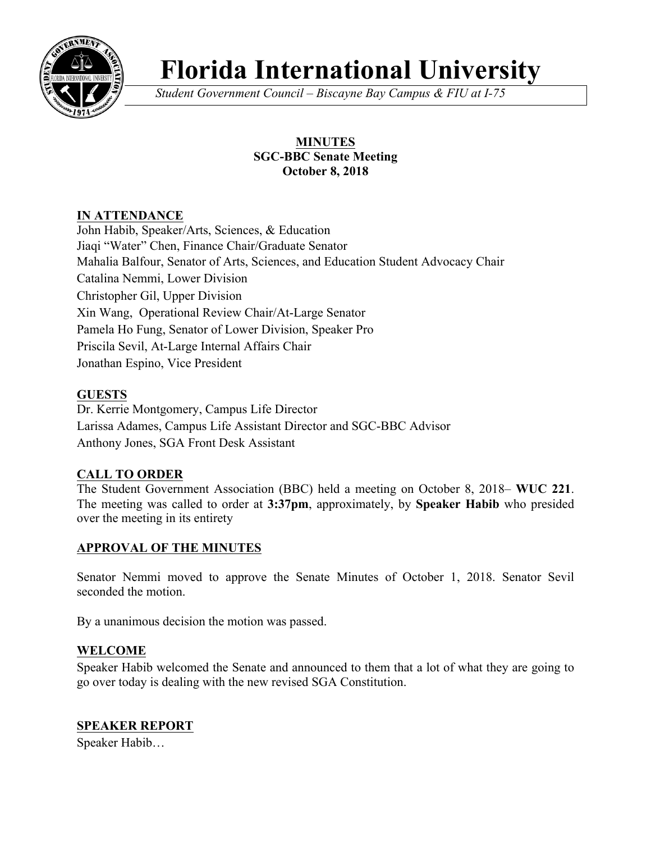

# **Florida International University**

*Student Government Council – Biscayne Bay Campus & FIU at I-75*

## **MINUTES SGC-BBC Senate Meeting October 8, 2018**

# **IN ATTENDANCE**

John Habib, Speaker/Arts, Sciences, & Education Jiaqi "Water" Chen, Finance Chair/Graduate Senator Mahalia Balfour, Senator of Arts, Sciences, and Education Student Advocacy Chair Catalina Nemmi, Lower Division Christopher Gil, Upper Division Xin Wang, Operational Review Chair/At-Large Senator Pamela Ho Fung, Senator of Lower Division, Speaker Pro Priscila Sevil, At-Large Internal Affairs Chair Jonathan Espino, Vice President

# **GUESTS**

Dr. Kerrie Montgomery, Campus Life Director Larissa Adames, Campus Life Assistant Director and SGC-BBC Advisor Anthony Jones, SGA Front Desk Assistant

## **CALL TO ORDER**

The Student Government Association (BBC) held a meeting on October 8, 2018– **WUC 221**. The meeting was called to order at **3:37pm**, approximately, by **Speaker Habib** who presided over the meeting in its entirety

## **APPROVAL OF THE MINUTES**

Senator Nemmi moved to approve the Senate Minutes of October 1, 2018. Senator Sevil seconded the motion.

By a unanimous decision the motion was passed.

## **WELCOME**

Speaker Habib welcomed the Senate and announced to them that a lot of what they are going to go over today is dealing with the new revised SGA Constitution.

## **SPEAKER REPORT**

Speaker Habib…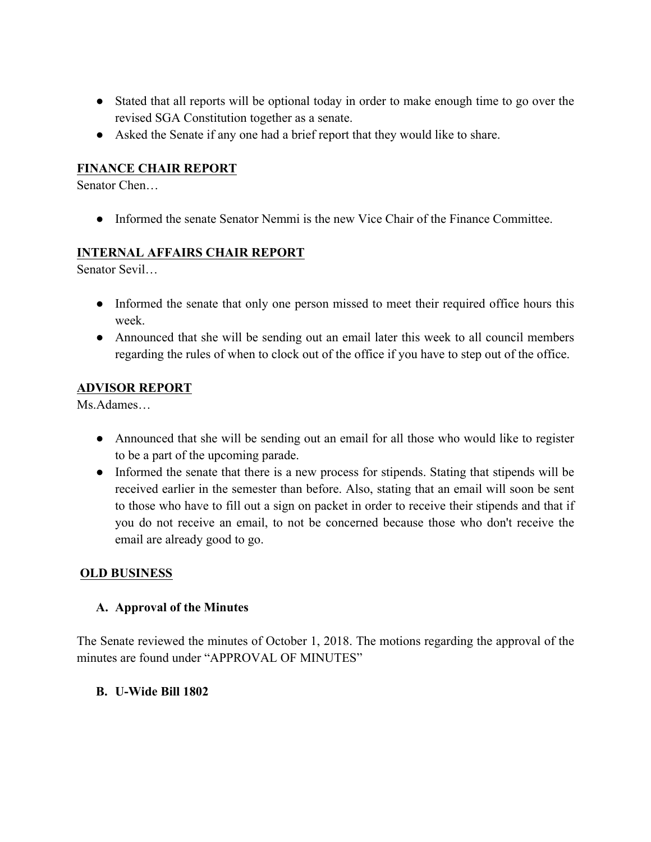- Stated that all reports will be optional today in order to make enough time to go over the revised SGA Constitution together as a senate.
- Asked the Senate if any one had a brief report that they would like to share.

## **FINANCE CHAIR REPORT**

Senator Chen…

● Informed the senate Senator Nemmi is the new Vice Chair of the Finance Committee.

#### **INTERNAL AFFAIRS CHAIR REPORT**

Senator Sevil…

- Informed the senate that only one person missed to meet their required office hours this week.
- Announced that she will be sending out an email later this week to all council members regarding the rules of when to clock out of the office if you have to step out of the office.

#### **ADVISOR REPORT**

Ms.Adames…

- Announced that she will be sending out an email for all those who would like to register to be a part of the upcoming parade.
- Informed the senate that there is a new process for stipends. Stating that stipends will be received earlier in the semester than before. Also, stating that an email will soon be sent to those who have to fill out a sign on packet in order to receive their stipends and that if you do not receive an email, to not be concerned because those who don't receive the email are already good to go.

#### **OLD BUSINESS**

#### **A. Approval of the Minutes**

The Senate reviewed the minutes of October 1, 2018. The motions regarding the approval of the minutes are found under "APPROVAL OF MINUTES"

#### **B. U-Wide Bill 1802**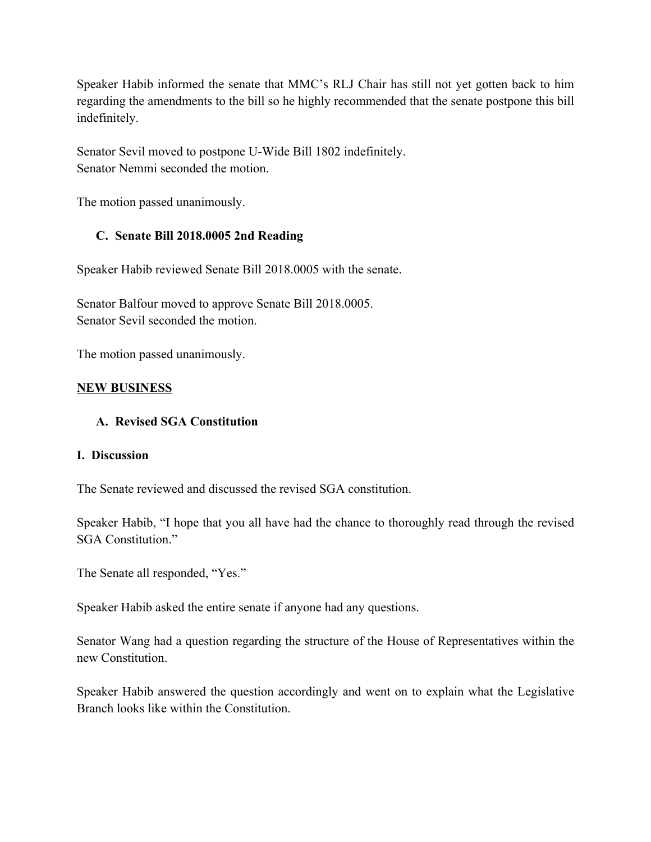Speaker Habib informed the senate that MMC's RLJ Chair has still not yet gotten back to him regarding the amendments to the bill so he highly recommended that the senate postpone this bill indefinitely.

Senator Sevil moved to postpone U-Wide Bill 1802 indefinitely. Senator Nemmi seconded the motion.

The motion passed unanimously.

## **C. Senate Bill 2018.0005 2nd Reading**

Speaker Habib reviewed Senate Bill 2018.0005 with the senate.

Senator Balfour moved to approve Senate Bill 2018.0005. Senator Sevil seconded the motion.

The motion passed unanimously.

## **NEW BUSINESS**

## **A. Revised SGA Constitution**

#### **I. Discussion**

The Senate reviewed and discussed the revised SGA constitution.

Speaker Habib, "I hope that you all have had the chance to thoroughly read through the revised SGA Constitution."

The Senate all responded, "Yes."

Speaker Habib asked the entire senate if anyone had any questions.

Senator Wang had a question regarding the structure of the House of Representatives within the new Constitution.

Speaker Habib answered the question accordingly and went on to explain what the Legislative Branch looks like within the Constitution.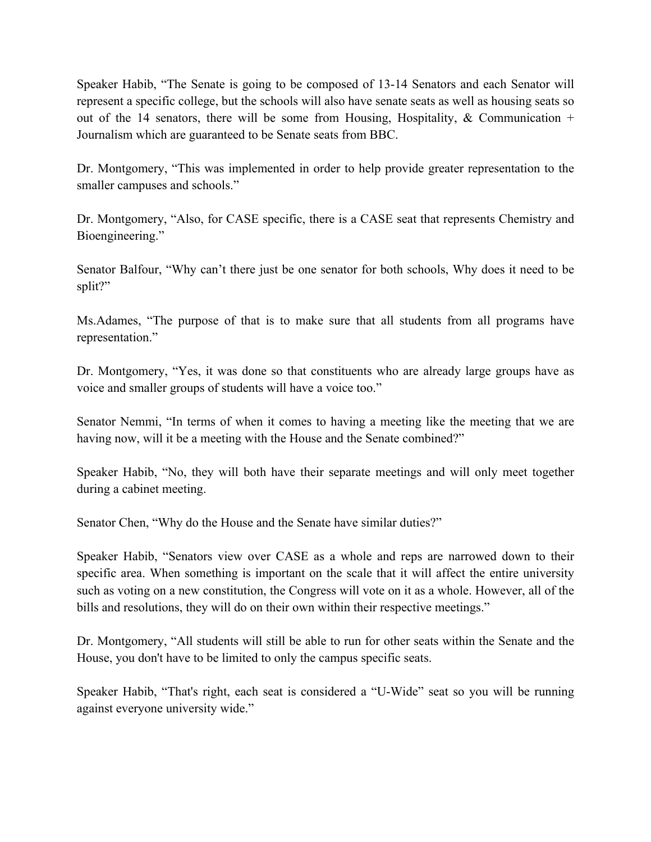Speaker Habib, "The Senate is going to be composed of 13-14 Senators and each Senator will represent a specific college, but the schools will also have senate seats as well as housing seats so out of the 14 senators, there will be some from Housing, Hospitality,  $\&$  Communication + Journalism which are guaranteed to be Senate seats from BBC.

Dr. Montgomery, "This was implemented in order to help provide greater representation to the smaller campuses and schools."

Dr. Montgomery, "Also, for CASE specific, there is a CASE seat that represents Chemistry and Bioengineering."

Senator Balfour, "Why can't there just be one senator for both schools, Why does it need to be split?"

Ms.Adames, "The purpose of that is to make sure that all students from all programs have representation."

Dr. Montgomery, "Yes, it was done so that constituents who are already large groups have as voice and smaller groups of students will have a voice too."

Senator Nemmi, "In terms of when it comes to having a meeting like the meeting that we are having now, will it be a meeting with the House and the Senate combined?"

Speaker Habib, "No, they will both have their separate meetings and will only meet together during a cabinet meeting.

Senator Chen, "Why do the House and the Senate have similar duties?"

Speaker Habib, "Senators view over CASE as a whole and reps are narrowed down to their specific area. When something is important on the scale that it will affect the entire university such as voting on a new constitution, the Congress will vote on it as a whole. However, all of the bills and resolutions, they will do on their own within their respective meetings."

Dr. Montgomery, "All students will still be able to run for other seats within the Senate and the House, you don't have to be limited to only the campus specific seats.

Speaker Habib, "That's right, each seat is considered a "U-Wide" seat so you will be running against everyone university wide."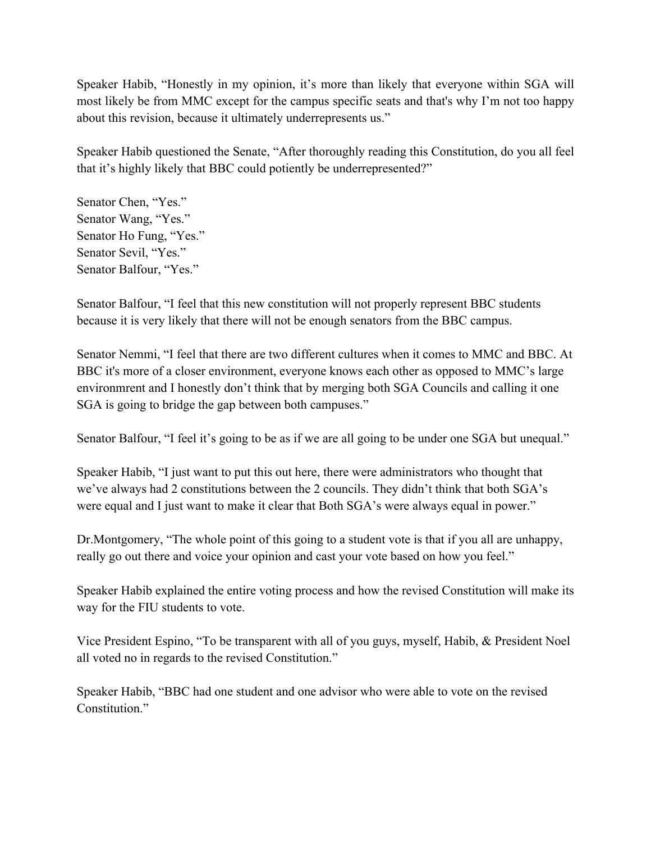Speaker Habib, "Honestly in my opinion, it's more than likely that everyone within SGA will most likely be from MMC except for the campus specific seats and that's why I'm not too happy about this revision, because it ultimately underrepresents us."

Speaker Habib questioned the Senate, "After thoroughly reading this Constitution, do you all feel that it's highly likely that BBC could potiently be underrepresented?"

Senator Chen, "Yes." Senator Wang, "Yes." Senator Ho Fung, "Yes." Senator Sevil, "Yes." Senator Balfour, "Yes."

Senator Balfour, "I feel that this new constitution will not properly represent BBC students because it is very likely that there will not be enough senators from the BBC campus.

Senator Nemmi, "I feel that there are two different cultures when it comes to MMC and BBC. At BBC it's more of a closer environment, everyone knows each other as opposed to MMC's large environmrent and I honestly don't think that by merging both SGA Councils and calling it one SGA is going to bridge the gap between both campuses."

Senator Balfour, "I feel it's going to be as if we are all going to be under one SGA but unequal."

Speaker Habib, "I just want to put this out here, there were administrators who thought that we've always had 2 constitutions between the 2 councils. They didn't think that both SGA's were equal and I just want to make it clear that Both SGA's were always equal in power."

Dr.Montgomery, "The whole point of this going to a student vote is that if you all are unhappy, really go out there and voice your opinion and cast your vote based on how you feel."

Speaker Habib explained the entire voting process and how the revised Constitution will make its way for the FIU students to vote.

Vice President Espino, "To be transparent with all of you guys, myself, Habib, & President Noel all voted no in regards to the revised Constitution."

Speaker Habib, "BBC had one student and one advisor who were able to vote on the revised Constitution<sup>"</sup>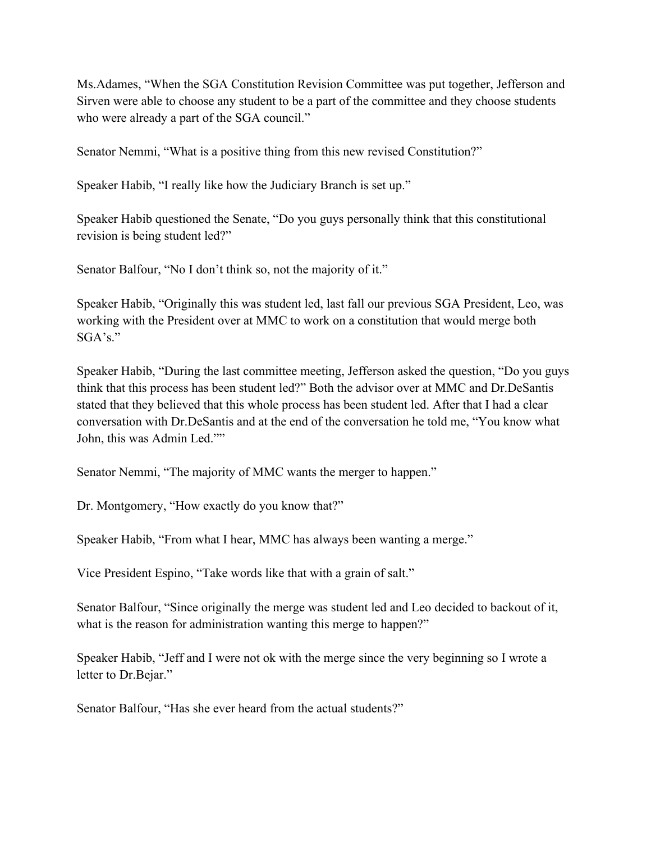Ms.Adames, "When the SGA Constitution Revision Committee was put together, Jefferson and Sirven were able to choose any student to be a part of the committee and they choose students who were already a part of the SGA council."

Senator Nemmi, "What is a positive thing from this new revised Constitution?"

Speaker Habib, "I really like how the Judiciary Branch is set up."

Speaker Habib questioned the Senate, "Do you guys personally think that this constitutional revision is being student led?"

Senator Balfour, "No I don't think so, not the majority of it."

Speaker Habib, "Originally this was student led, last fall our previous SGA President, Leo, was working with the President over at MMC to work on a constitution that would merge both SGA's."

Speaker Habib, "During the last committee meeting, Jefferson asked the question, "Do you guys think that this process has been student led?" Both the advisor over at MMC and Dr.DeSantis stated that they believed that this whole process has been student led. After that I had a clear conversation with Dr.DeSantis and at the end of the conversation he told me, "You know what John, this was Admin Led.""

Senator Nemmi, "The majority of MMC wants the merger to happen."

Dr. Montgomery, "How exactly do you know that?"

Speaker Habib, "From what I hear, MMC has always been wanting a merge."

Vice President Espino, "Take words like that with a grain of salt."

Senator Balfour, "Since originally the merge was student led and Leo decided to backout of it, what is the reason for administration wanting this merge to happen?"

Speaker Habib, "Jeff and I were not ok with the merge since the very beginning so I wrote a letter to Dr.Bejar."

Senator Balfour, "Has she ever heard from the actual students?"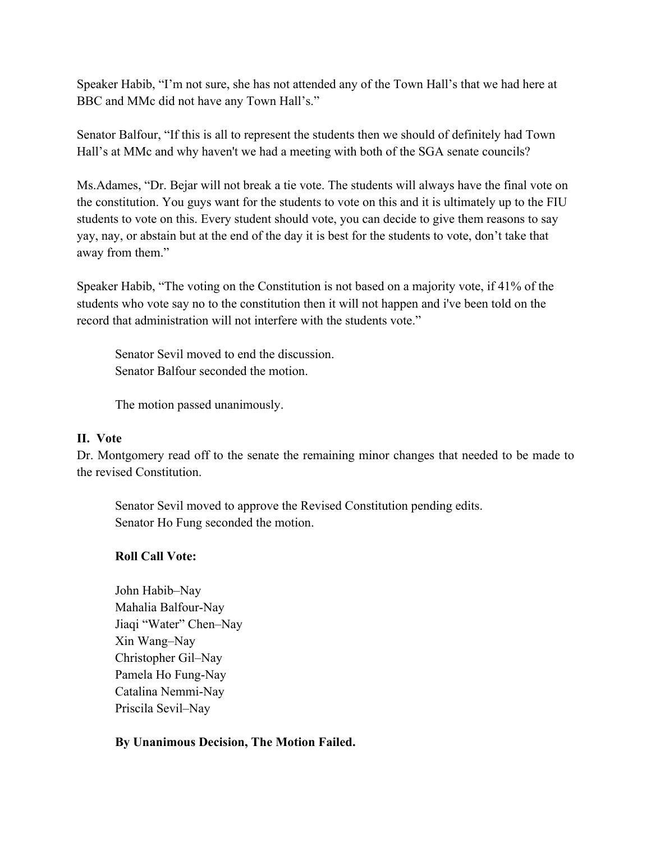Speaker Habib, "I'm not sure, she has not attended any of the Town Hall's that we had here at BBC and MMc did not have any Town Hall's."

Senator Balfour, "If this is all to represent the students then we should of definitely had Town Hall's at MMc and why haven't we had a meeting with both of the SGA senate councils?

Ms.Adames, "Dr. Bejar will not break a tie vote. The students will always have the final vote on the constitution. You guys want for the students to vote on this and it is ultimately up to the FIU students to vote on this. Every student should vote, you can decide to give them reasons to say yay, nay, or abstain but at the end of the day it is best for the students to vote, don't take that away from them."

Speaker Habib, "The voting on the Constitution is not based on a majority vote, if 41% of the students who vote say no to the constitution then it will not happen and i've been told on the record that administration will not interfere with the students vote."

Senator Sevil moved to end the discussion. Senator Balfour seconded the motion.

The motion passed unanimously.

#### **II. Vote**

Dr. Montgomery read off to the senate the remaining minor changes that needed to be made to the revised Constitution.

Senator Sevil moved to approve the Revised Constitution pending edits. Senator Ho Fung seconded the motion.

#### **Roll Call Vote:**

John Habib–Nay Mahalia Balfour-Nay Jiaqi "Water" Chen–Nay Xin Wang–Nay Christopher Gil–Nay Pamela Ho Fung-Nay Catalina Nemmi-Nay Priscila Sevil–Nay

## **By Unanimous Decision, The Motion Failed.**